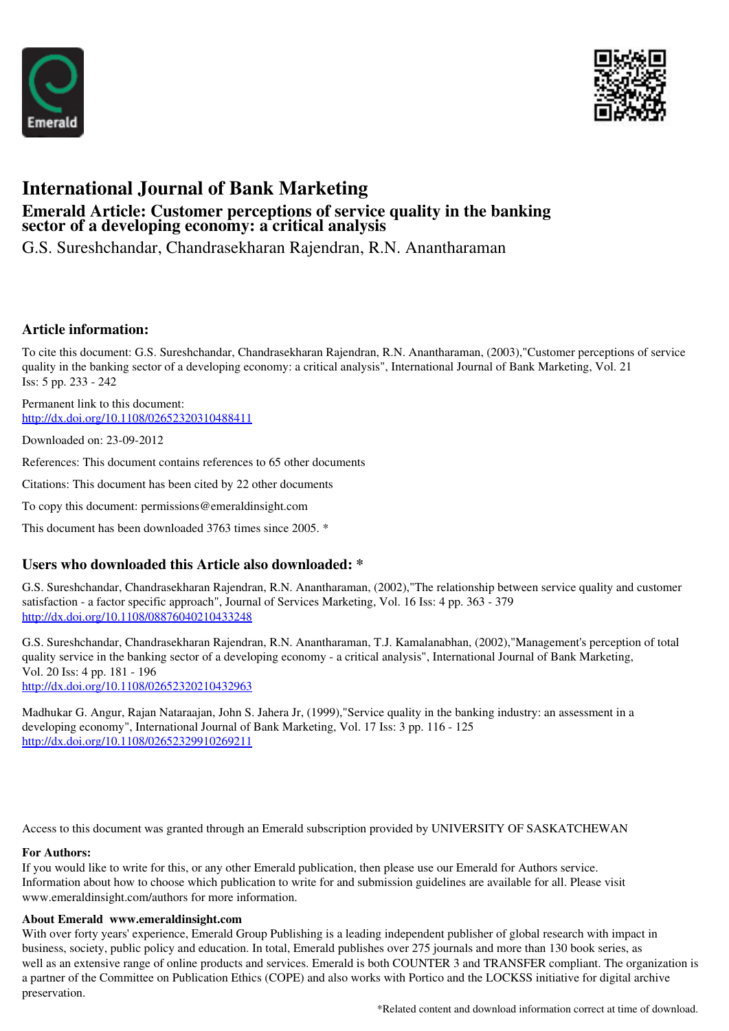



# **International Journal of Bank Marketing**

# **Emerald Article: Customer perceptions of service quality in the banking sector of a developing economy: a critical analysis**

G.S. Sureshchandar, Chandrasekharan Rajendran, R.N. Anantharaman

# **Article information:**

To cite this document: G.S. Sureshchandar, Chandrasekharan Rajendran, R.N. Anantharaman, (2003),"Customer perceptions of service quality in the banking sector of a developing economy: a critical analysis", International Journal of Bank Marketing, Vol. 21 Iss: 5 pp. 233 - 242

Permanent link to this document: http://dx.doi.org/10.1108/02652320310488411

Downloaded on: 23-09-2012

References: This document contains references to 65 other documents

Citations: This document has been cited by 22 other documents

To copy this document: permissions@emeraldinsight.com

This document has been downloaded 3763 times since 2005. \*

## **Users who downloaded this Article also downloaded: \***

G.S. Sureshchandar, Chandrasekharan Rajendran, R.N. Anantharaman, (2002),"The relationship between service quality and customer satisfaction - a factor specific approach", Journal of Services Marketing, Vol. 16 Iss: 4 pp. 363 - 379 http://dx.doi.org/10.1108/08876040210433248

G.S. Sureshchandar, Chandrasekharan Rajendran, R.N. Anantharaman, T.J. Kamalanabhan, (2002),"Management's perception of total quality service in the banking sector of a developing economy - a critical analysis", International Journal of Bank Marketing, Vol. 20 Iss: 4 pp. 181 - 196 http://dx.doi.org/10.1108/02652320210432963

Madhukar G. Angur, Rajan Nataraajan, John S. Jahera Jr, (1999),"Service quality in the banking industry: an assessment in a developing economy", International Journal of Bank Marketing, Vol. 17 Iss: 3 pp. 116 - 125 http://dx.doi.org/10.1108/02652329910269211

Access to this document was granted through an Emerald subscription provided by UNIVERSITY OF SASKATCHEWAN

## **For Authors:**

If you would like to write for this, or any other Emerald publication, then please use our Emerald for Authors service. Information about how to choose which publication to write for and submission guidelines are available for all. Please visit www.emeraldinsight.com/authors for more information.

## **About Emerald www.emeraldinsight.com**

With over forty years' experience, Emerald Group Publishing is a leading independent publisher of global research with impact in business, society, public policy and education. In total, Emerald publishes over 275 journals and more than 130 book series, as well as an extensive range of online products and services. Emerald is both COUNTER 3 and TRANSFER compliant. The organization is a partner of the Committee on Publication Ethics (COPE) and also works with Portico and the LOCKSS initiative for digital archive preservation.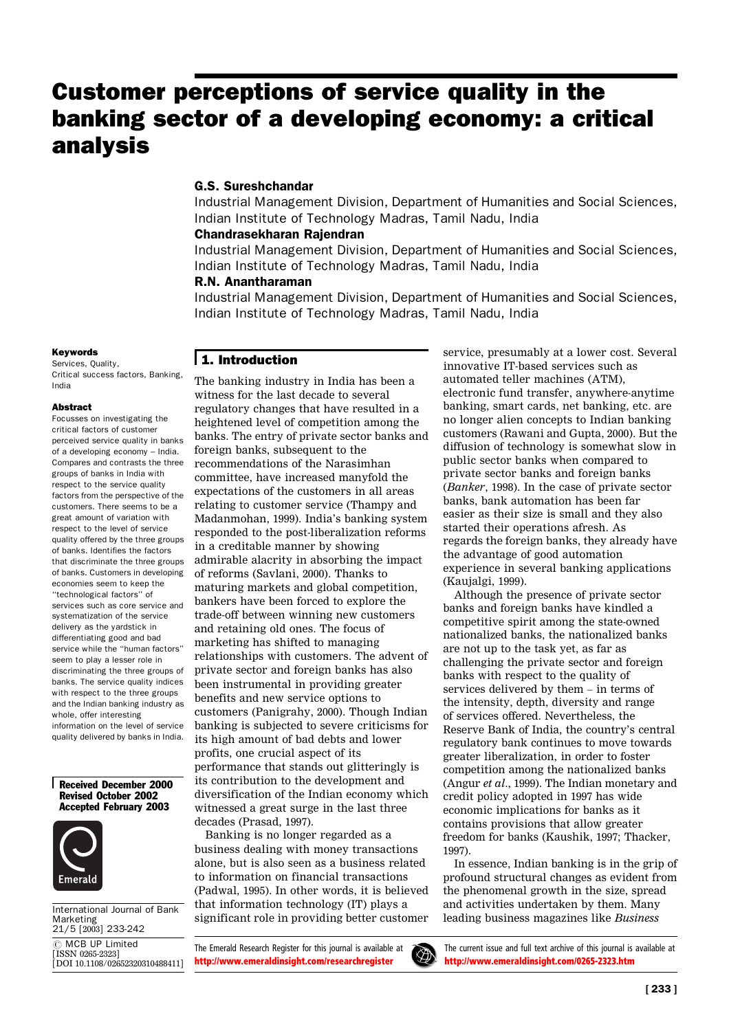# **Customer perceptions of service quality in the** banking sector of a developing economy: a critical analysis

## **G.S. Sureshchandar**

Industrial Management Division, Department of Humanities and Social Sciences. Indian Institute of Technology Madras, Tamil Nadu, India

## **Chandrasekharan Rajendran**

Industrial Management Division, Department of Humanities and Social Sciences, Indian Institute of Technology Madras, Tamil Nadu, India

## R.N. Anantharaman

Industrial Management Division, Department of Humanities and Social Sciences, Indian Institute of Technology Madras, Tamil Nadu, India

#### **Keywords**

Services, Quality, Critical success factors. Banking. India

#### **Ahetract**

Focusses on investigating the critical factors of customer perceived service quality in banks of a developing economy - India. Compares and contrasts the three groups of banks in India with respect to the service quality factors from the perspective of the customers. There seems to be a great amount of variation with respect to the level of service quality offered by the three groups of banks. Identifies the factors that discriminate the three groups of banks. Customers in developing economies seem to keep the "technological factors" of services such as core service and systematization of the service delivery as the vardstick in differentiating good and bad service while the "human factors" seem to play a lesser role in discriminating the three groups of banks. The service quality indices with respect to the three groups and the Indian banking industry as whole, offer interesting information on the level of service quality delivered by banks in India.

#### **Received December 2000 Revised October 2002 Accepted February 2003**



International Journal of Bank ....<br>Marketing 21/5 [2003] 233-242

C MCB UP Limited **ISSN 0265-2323]** DOI 10.1108/026523203104884111

## **1.** Introduction

The banking industry in India has been a witness for the last decade to several regulatory changes that have resulted in a heightened level of competition among the banks. The entry of private sector banks and foreign banks, subsequent to the recommendations of the Narasimhan committee, have increased manyfold the expectations of the customers in all areas relating to customer service (Thampy and Madanmohan, 1999). India's banking system responded to the post-liberalization reforms in a creditable manner by showing admirable alacrity in absorbing the impact of reforms (Savlani, 2000). Thanks to maturing markets and global competition, bankers have been forced to explore the trade-off between winning new customers and retaining old ones. The focus of marketing has shifted to managing relationships with customers. The advent of private sector and foreign banks has also been instrumental in providing greater benefits and new service options to customers (Panigrahy, 2000). Though Indian banking is subjected to severe criticisms for its high amount of bad debts and lower profits, one crucial aspect of its performance that stands out glitteringly is its contribution to the development and diversification of the Indian economy which witnessed a great surge in the last three decades (Prasad, 1997).

Banking is no longer regarded as a business dealing with money transactions alone, but is also seen as a business related to information on financial transactions (Padwal, 1995). In other words, it is believed that information technology (IT) plays a significant role in providing better customer

The Emerald Research Register for this journal is available at http://www.emeraldinsight.com/researchregister



service, presumably at a lower cost. Several innovative IT-based services such as automated teller machines (ATM), electronic fund transfer, anywhere-anytime banking, smart cards, net banking, etc. are no longer alien concepts to Indian banking customers (Rawani and Gupta, 2000). But the diffusion of technology is somewhat slow in public sector banks when compared to private sector banks and foreign banks (Banker, 1998). In the case of private sector banks, bank automation has been far easier as their size is small and they also started their operations afresh. As regards the foreign banks, they already have the advantage of good automation experience in several banking applications (Kaujalgi, 1999).

Although the presence of private sector banks and foreign banks have kindled a competitive spirit among the state-owned nationalized banks, the nationalized banks are not up to the task yet, as far as challenging the private sector and foreign banks with respect to the quality of services delivered by them - in terms of the intensity, depth, diversity and range of services offered. Nevertheless, the Reserve Bank of India, the country's central regulatory bank continues to move towards greater liberalization, in order to foster competition among the nationalized banks (Angur et al., 1999). The Indian monetary and credit policy adopted in 1997 has wide economic implications for banks as it contains provisions that allow greater freedom for banks (Kaushik, 1997; Thacker,  $1997$ ).

In essence, Indian banking is in the grip of profound structural changes as evident from the phenomenal growth in the size, spread and activities undertaken by them. Many leading business magazines like Business

The current issue and full text archive of this journal is available at http://www.emeraldinsight.com/0265-2323.htm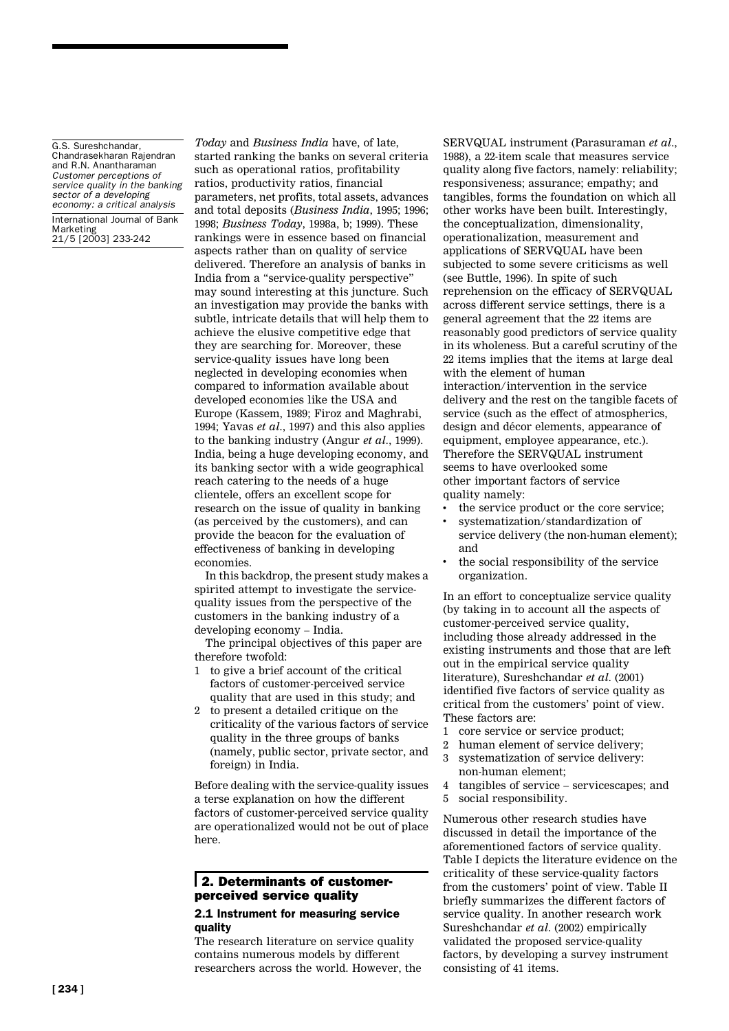Today and Business India have, of late, started ranking the banks on several criteria such as operational ratios, profitability ratios, productivity ratios, financial parameters, net profits, total assets, advances and total deposits (Business India, 1995; 1996; 1998: Business Today, 1998a, b: 1999). These rankings were in essence based on financial aspects rather than on quality of service delivered. Therefore an analysis of banks in India from a "service-quality perspective" may sound interesting at this juncture. Such an investigation may provide the banks with subtle, intricate details that will help them to achieve the elusive competitive edge that they are searching for. Moreover, these service-quality issues have long been neglected in developing economies when compared to information available about developed economies like the USA and Europe (Kassem, 1989; Firoz and Maghrabi, 1994; Yavas et al., 1997) and this also applies to the banking industry (Angur et al., 1999). India, being a huge developing economy, and its banking sector with a wide geographical reach catering to the needs of a huge clientele, offers an excellent scope for research on the issue of quality in banking (as perceived by the customers), and can provide the beacon for the evaluation of effectiveness of banking in developing economies.

In this backdrop, the present study makes a spirited attempt to investigate the servicequality issues from the perspective of the customers in the banking industry of a developing economy - India.

The principal objectives of this paper are therefore twofold:

- 1 to give a brief account of the critical factors of customer-perceived service quality that are used in this study; and
- to present a detailed critique on the criticality of the various factors of service quality in the three groups of banks (namely, public sector, private sector, and foreign) in India.

Before dealing with the service-quality issues a terse explanation on how the different factors of customer-perceived service quality are operationalized would not be out of place here.

## 2. Determinants of customerperceived service quality

#### 2.1 Instrument for measuring service quality

The research literature on service quality contains numerous models by different researchers across the world. However, the SERVQUAL instrument (Parasuraman et al., 1988), a 22-item scale that measures service quality along five factors, namely: reliability; responsiveness; assurance; empathy; and tangibles, forms the foundation on which all other works have been built. Interestingly, the conceptualization, dimensionality. operationalization, measurement and applications of SERVQUAL have been subjected to some severe criticisms as well (see Buttle, 1996). In spite of such reprehension on the efficacy of SERVQUAL across different service settings, there is a general agreement that the 22 items are reasonably good predictors of service quality in its wholeness. But a careful scrutiny of the 22 items implies that the items at large deal with the element of human interaction/intervention in the service delivery and the rest on the tangible facets of service (such as the effect of atmospherics, design and décor elements, appearance of equipment, employee appearance, etc.). Therefore the SERVQUAL instrument seems to have overlooked some other important factors of service quality namely:

- the service product or the core service;
- systematization/standardization of service delivery (the non-human element); and
- the social responsibility of the service organization.

In an effort to conceptualize service quality (by taking in to account all the aspects of customer-perceived service quality, including those already addressed in the existing instruments and those that are left out in the empirical service quality literature), Sureshchandar et al. (2001) identified five factors of service quality as critical from the customers' point of view. These factors are:

- 1 core service or service product;
- 2 human element of service delivery;
- $\overline{a}$ systematization of service delivery: non-human element;
- tangibles of service servicescapes; and  $\overline{4}$
- 5 social responsibility.

Numerous other research studies have discussed in detail the importance of the aforementioned factors of service quality. Table I depicts the literature evidence on the criticality of these service-quality factors from the customers' point of view. Table II briefly summarizes the different factors of service quality. In another research work Sureshchandar et al. (2002) empirically validated the proposed service-quality factors, by developing a survey instrument consisting of 41 items.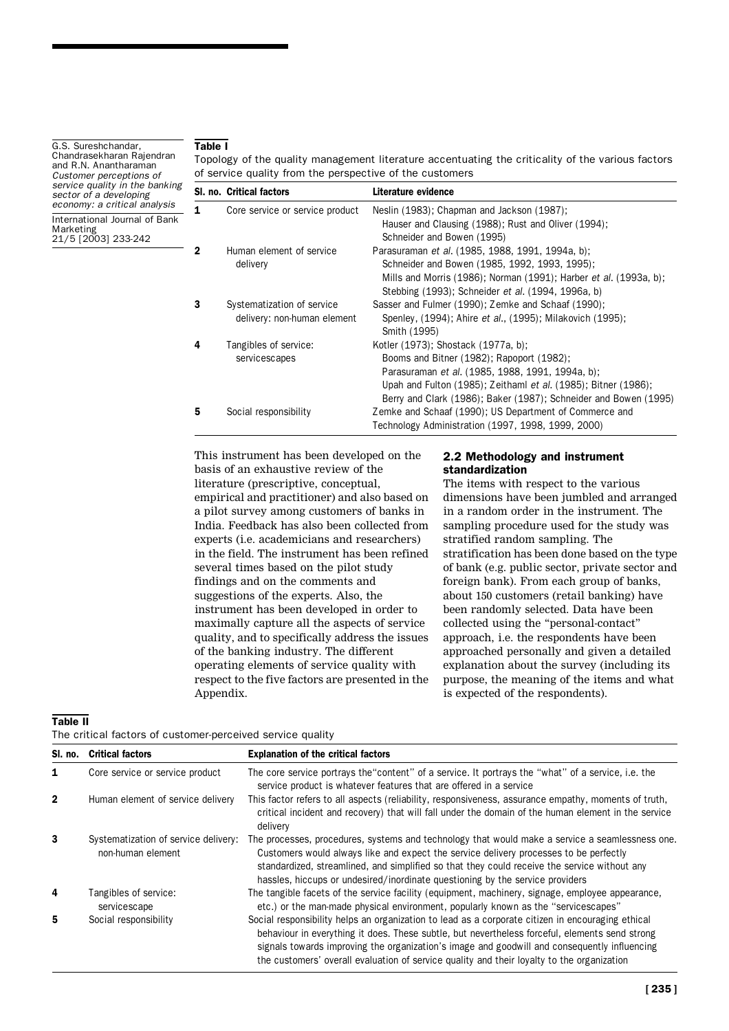## $Table I$

G.S. Sureshchandar,<br>Chandrasekharan Rajendran and R.N. Anantharaman Customer perceptions of service quality in the banking sector of a developing economy: a critical analysis International Journal of Bank Marketing<br>21/5 [2003] 233-242

Topology of the quality management literature accentuating the criticality of the various factors of service quality from the perspective of the customers

|             | SI, no. Critical factors                                  | Literature evidence                                                                                                                                                                                                                                                        |  |  |
|-------------|-----------------------------------------------------------|----------------------------------------------------------------------------------------------------------------------------------------------------------------------------------------------------------------------------------------------------------------------------|--|--|
| 1.          | Core service or service product                           | Neslin (1983); Chapman and Jackson (1987);<br>Hauser and Clausing (1988); Rust and Oliver (1994);<br>Schneider and Bowen (1995)                                                                                                                                            |  |  |
| $\mathbf 2$ | Human element of service<br>delivery                      | Parasuraman et al. (1985, 1988, 1991, 1994a, b);<br>Schneider and Bowen (1985, 1992, 1993, 1995);<br>Mills and Morris (1986); Norman (1991); Harber et al. (1993a, b);<br>Stebbing (1993); Schneider et al. (1994, 1996a, b)                                               |  |  |
| 3           | Systematization of service<br>delivery: non-human element | Sasser and Fulmer (1990); Zemke and Schaaf (1990);<br>Spenley, (1994); Ahire et al., (1995); Milakovich (1995);<br>Smith (1995)                                                                                                                                            |  |  |
| 4           | Tangibles of service:<br>servicescapes                    | Kotler (1973); Shostack (1977a, b);<br>Booms and Bitner (1982); Rapoport (1982);<br>Parasuraman et al. (1985, 1988, 1991, 1994a, b);<br>Upah and Fulton (1985); Zeithaml et al. (1985); Bitner (1986);<br>Berry and Clark (1986); Baker (1987); Schneider and Bowen (1995) |  |  |
| 5           | Social responsibility                                     | Zemke and Schaaf (1990); US Department of Commerce and<br>Technology Administration (1997, 1998, 1999, 2000)                                                                                                                                                               |  |  |

This instrument has been developed on the basis of an exhaustive review of the literature (prescriptive, conceptual, empirical and practitioner) and also based on a pilot survey among customers of banks in India. Feedback has also been collected from experts (i.e. academicians and researchers) in the field. The instrument has been refined several times based on the pilot study findings and on the comments and suggestions of the experts. Also, the instrument has been developed in order to maximally capture all the aspects of service quality, and to specifically address the issues of the banking industry. The different operating elements of service quality with respect to the five factors are presented in the Appendix.

#### 2.2 Methodology and instrument standardization

The items with respect to the various dimensions have been jumbled and arranged in a random order in the instrument. The sampling procedure used for the study was stratified random sampling. The stratification has been done based on the type of bank (e.g. public sector, private sector and foreign bank). From each group of banks, about 150 customers (retail banking) have been randomly selected. Data have been collected using the "personal-contact" approach, i.e. the respondents have been approached personally and given a detailed explanation about the survey (including its purpose, the meaning of the items and what is expected of the respondents).

## Table II

The critical factors of customer-perceived service quality

| SI. no.        | <b>Critical factors</b>                                   | <b>Explanation of the critical factors</b>                                                                                                                                                                                                                                                                                                                                                        |
|----------------|-----------------------------------------------------------|---------------------------------------------------------------------------------------------------------------------------------------------------------------------------------------------------------------------------------------------------------------------------------------------------------------------------------------------------------------------------------------------------|
| 1              | Core service or service product                           | The core service portrays the "content" of a service. It portrays the "what" of a service, i.e. the<br>service product is whatever features that are offered in a service                                                                                                                                                                                                                         |
| $\overline{2}$ | Human element of service delivery                         | This factor refers to all aspects (reliability, responsiveness, assurance empathy, moments of truth,<br>critical incident and recovery) that will fall under the domain of the human element in the service<br>delivery                                                                                                                                                                           |
| 3              | Systematization of service delivery:<br>non-human element | The processes, procedures, systems and technology that would make a service a seamlessness one.<br>Customers would always like and expect the service delivery processes to be perfectly<br>standardized, streamlined, and simplified so that they could receive the service without any<br>hassles, hiccups or undesired/inordinate questioning by the service providers                         |
| 4              | Tangibles of service:<br>servicescape                     | The tangible facets of the service facility (equipment, machinery, signage, employee appearance,<br>etc.) or the man-made physical environment, popularly known as the "service scapes"                                                                                                                                                                                                           |
| 5              | Social responsibility                                     | Social responsibility helps an organization to lead as a corporate citizen in encouraging ethical<br>behaviour in everything it does. These subtle, but nevertheless forceful, elements send strong<br>signals towards improving the organization's image and goodwill and consequently influencing<br>the customers' overall evaluation of service quality and their loyalty to the organization |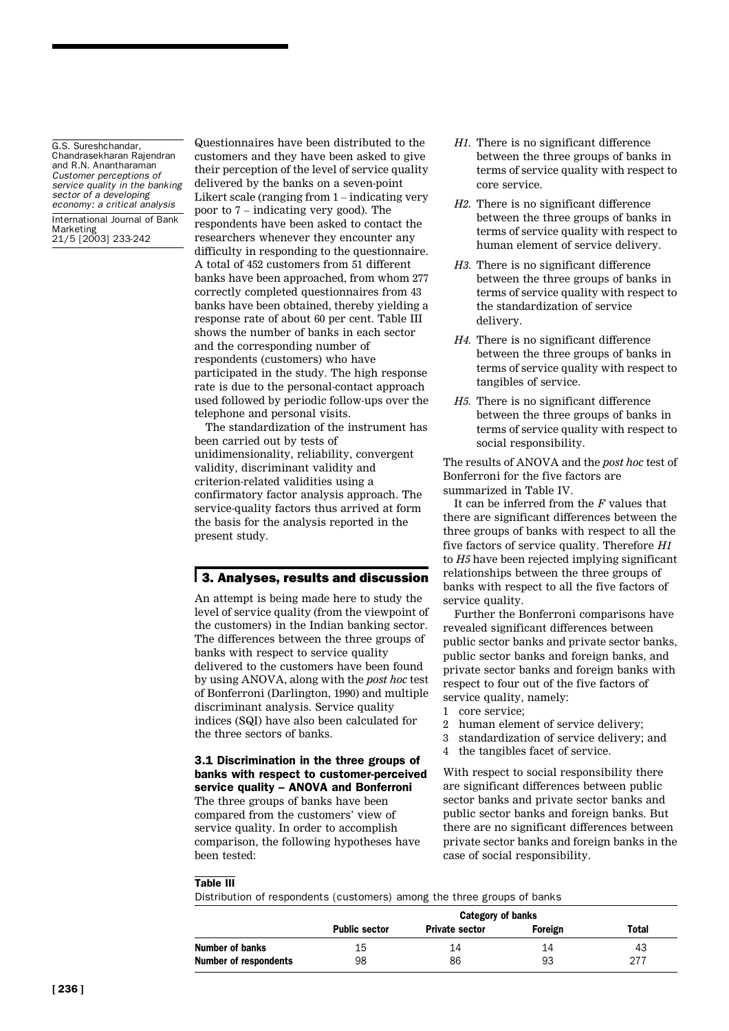Questionnaires have been distributed to the customers and they have been asked to give their perception of the level of service quality delivered by the banks on a seven-point Likert scale (ranging from  $1$  – indicating very poor to  $7$  – indicating very good). The respondents have been asked to contact the researchers whenever they encounter any difficulty in responding to the questionnaire. A total of 452 customers from 51 different banks have been approached, from whom 277 correctly completed questionnaires from 43 banks have been obtained, thereby yielding a response rate of about 60 per cent. Table III shows the number of banks in each sector and the corresponding number of respondents (customers) who have participated in the study. The high response rate is due to the personal-contact approach used followed by periodic follow-ups over the telephone and personal visits.

The standardization of the instrument has been carried out by tests of unidimensionality, reliability, convergent validity, discriminant validity and criterion-related validities using a confirmatory factor analysis approach. The service-quality factors thus arrived at form the basis for the analysis reported in the present study.

## 3. Analyses, results and discussion

An attempt is being made here to study the level of service quality (from the viewpoint of the customers) in the Indian banking sector. The differences between the three groups of banks with respect to service quality delivered to the customers have been found by using ANOVA, along with the post hoc test of Bonferroni (Darlington, 1990) and multiple discriminant analysis. Service quality indices (SQI) have also been calculated for the three sectors of banks.

#### 3.1 Discrimination in the three groups of banks with respect to customer-perceived service quality - ANOVA and Bonferroni

The three groups of banks have been compared from the customers' view of service quality. In order to accomplish comparison, the following hypotheses have been tested:

- H1. There is no significant difference between the three groups of banks in terms of service quality with respect to core service
- H<sub>2</sub>. There is no significant difference between the three groups of banks in terms of service quality with respect to human element of service delivery.
- H<sub>3</sub>. There is no significant difference between the three groups of banks in terms of service quality with respect to the standardization of service delivery.
- H4. There is no significant difference between the three groups of banks in terms of service quality with respect to tangibles of service.
- H<sub>5</sub>. There is no significant difference between the three groups of banks in terms of service quality with respect to social responsibility.

The results of ANOVA and the post hoc test of Bonferroni for the five factors are summarized in Table IV

It can be inferred from the  $F$  values that there are significant differences between the three groups of banks with respect to all the five factors of service quality. Therefore  $H1$ to H<sub>5</sub> have been rejected implying significant relationships between the three groups of banks with respect to all the five factors of service quality

Further the Bonferroni comparisons have revealed significant differences between public sector banks and private sector banks, public sector banks and foreign banks, and private sector banks and foreign banks with respect to four out of the five factors of service quality, namely:

- $\mathbf{1}$ core service:
- $2^{\circ}$ human element of service delivery;
- $\mathbf{R}$ standardization of service delivery; and
- the tangibles facet of service.  $\overline{4}$

With respect to social responsibility there are significant differences between public sector banks and private sector banks and public sector banks and foreign banks. But there are no significant differences between private sector banks and foreign banks in the case of social responsibility.

#### $Table III$

Distribution of respondents (customers) among the three groups of banks

|                              | Category of banks    |                       |                |       |
|------------------------------|----------------------|-----------------------|----------------|-------|
|                              | <b>Public sector</b> | <b>Private sector</b> | <b>Foreign</b> | Total |
| Number of banks              | 15                   | 14                    | 14             | 43    |
| <b>Number of respondents</b> | 98                   | 86                    | 93             | 277   |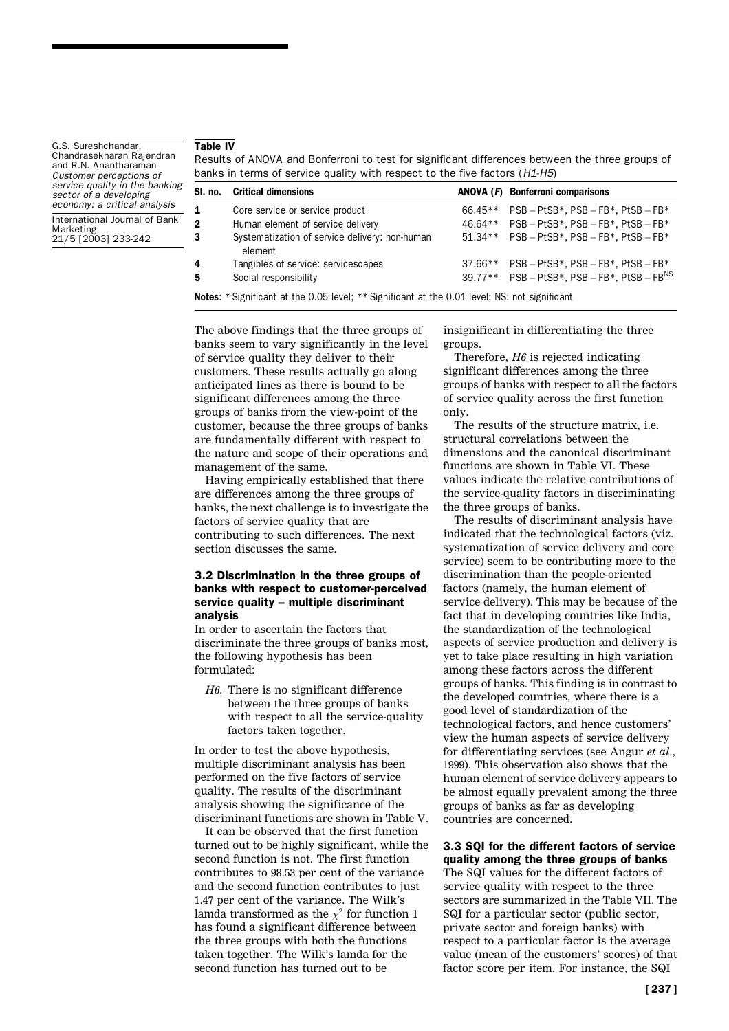## Table IV

G.S. Sureshchandar Chandrasekharan Rajendran and R.N. Anantharaman Customer perceptions of service quality in the banking sector of a developing economy: a critical analysis International Journal of Bank Marketing<br>21/5 [2003] 233-242

Results of ANOVA and Bonferroni to test for significant differences between the three groups of banks in terms of service quality with respect to the five factors (H1-H5)

|                                                                                                          | SI, no. Critical dimensions                               |         | ANOVA (F) Bonferroni comparisons                         |
|----------------------------------------------------------------------------------------------------------|-----------------------------------------------------------|---------|----------------------------------------------------------|
| -1                                                                                                       | Core service or service product                           | 66.45** | $PSB - PtSB^*$ . $PSB - FB^*$ . $PtSB - FB^*$            |
| $\overline{\mathbf{2}}$                                                                                  | Human element of service delivery                         | 46.64** | $PSB - PtSB^*$ , $PSB - FB^*$ , $PtSB - FB^*$            |
| -3                                                                                                       | Systematization of service delivery: non-human<br>element | 51.34** | $PSB - PtSB^*$ , $PSB - FB^*$ , $PtSB - FB^*$            |
| 4                                                                                                        | Tangibles of service: servicescapes                       | 37.66** | $PSB - PtSB^*$ , $PSB - FB^*$ , $PtSB - FB^*$            |
| 5                                                                                                        | Social responsibility                                     |         | 39.77** $PSB - PtSB^*$ , $PSB - FB^*$ , $PtSB - FB^{NS}$ |
| <b>Notes:</b> $*$ Significant at the 0.05 level: $**$ Significant at the 0.01 level: NS; not significant |                                                           |         |                                                          |

**Notes:** \* Significant at the 0.05 level: Significant at the 0.01 level; NS: not significant

The above findings that the three groups of banks seem to vary significantly in the level of service quality they deliver to their customers. These results actually go along anticipated lines as there is bound to be significant differences among the three groups of banks from the view-point of the customer, because the three groups of banks are fundamentally different with respect to the nature and scope of their operations and management of the same.

Having empirically established that there are differences among the three groups of banks, the next challenge is to investigate the factors of service quality that are contributing to such differences. The next section discusses the same.

#### 3.2 Discrimination in the three groups of banks with respect to customer-perceived service quality - multiple discriminant analysis

In order to ascertain the factors that discriminate the three groups of banks most, the following hypothesis has been formulated:

H6. There is no significant difference between the three groups of banks with respect to all the service-quality factors taken together.

In order to test the above hypothesis, multiple discriminant analysis has been performed on the five factors of service quality. The results of the discriminant analysis showing the significance of the discriminant functions are shown in Table V.

It can be observed that the first function turned out to be highly significant, while the second function is not. The first function contributes to 98.53 per cent of the variance and the second function contributes to just 1.47 per cent of the variance. The Wilk's lamda transformed as the  $\chi^2$  for function 1 has found a significant difference between the three groups with both the functions taken together. The Wilk's lamda for the second function has turned out to be

insignificant in differentiating the three groups.

Therefore, H6 is rejected indicating significant differences among the three groups of banks with respect to all the factors of service quality across the first function only

The results of the structure matrix, i.e. structural correlations between the dimensions and the canonical discriminant functions are shown in Table VI. These values indicate the relative contributions of the service-quality factors in discriminating the three groups of banks.

The results of discriminant analysis have indicated that the technological factors (viz. systematization of service delivery and core service) seem to be contributing more to the discrimination than the people-oriented factors (namely, the human element of service delivery). This may be because of the fact that in developing countries like India, the standardization of the technological aspects of service production and delivery is yet to take place resulting in high variation among these factors across the different groups of banks. This finding is in contrast to the developed countries, where there is a good level of standardization of the technological factors, and hence customers' view the human aspects of service delivery for differentiating services (see Angur et al., 1999). This observation also shows that the human element of service delivery appears to be almost equally prevalent among the three groups of banks as far as developing countries are concerned

3.3 SOI for the different factors of service quality among the three groups of banks The SQI values for the different factors of service quality with respect to the three sectors are summarized in the Table VII. The SQI for a particular sector (public sector, private sector and foreign banks) with respect to a particular factor is the average value (mean of the customers' scores) of that factor score per item. For instance, the SQI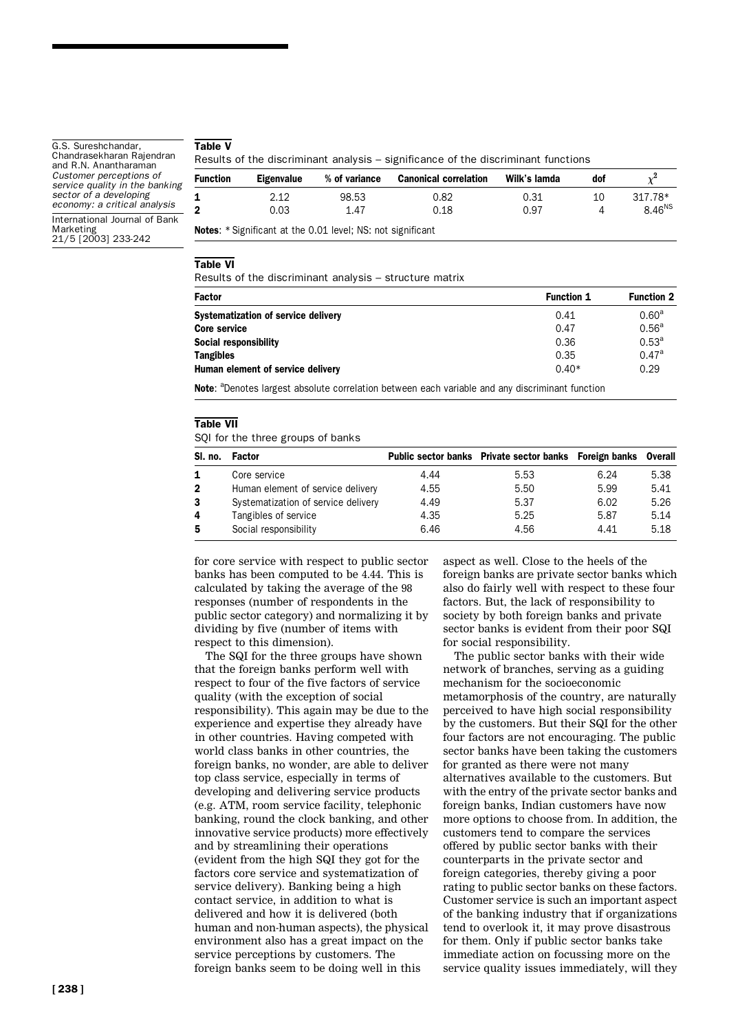### $T$ ahle V

G.S. Sureshchandar Chandrasekharan Rajendran and R.N. Anantharaman Customer perceptions of service quality in the banking sector of a developing economy: a critical analysis International Journal of Bank Marketing<br>21/5 [2003] 233-242

Results of the discriminant analysis - significance of the discriminant functions

| Function | Eigenvalue | $\%$ of variance | <b>Canonical correlation</b> | Wilk's lamda | dof |                    |
|----------|------------|------------------|------------------------------|--------------|-----|--------------------|
|          | 2.12       | 98.53            | 0.82                         | 0.31         | 10  | 317.78*            |
|          | 0.03       | 1.47             | 0.18                         | 0.97         |     | 8.46 <sup>NS</sup> |
|          |            | $\blacksquare$   |                              |              |     |                    |

**Notes:** \* Significant at the 0.01 level; NS: not significant

#### **Table VI**

Results of the discriminant analysis - structure matrix

| Factor                              | <b>Function 1</b> | <b>Function 2</b> |
|-------------------------------------|-------------------|-------------------|
| Systematization of service delivery | 0.41              | 0.60 <sup>a</sup> |
| Core service                        | 0.47              | 0.56 <sup>a</sup> |
| Social responsibility               | 0.36              | $0.53^{a}$        |
| <b>Tangibles</b>                    | 0.35              | $0.47^{\circ}$    |
| Human element of service delivery   | $0.40*$           | 0.29              |
|                                     |                   |                   |

**Note:** <sup>a</sup>Denotes largest absolute correlation between each variable and any discriminant function

#### **Table VII**

SQI for the three groups of banks

| SI, no.      | Factor                              |      | Public sector banks Private sector banks Foreign banks Overall |      |      |
|--------------|-------------------------------------|------|----------------------------------------------------------------|------|------|
|              | Core service                        | 4.44 | 5.53                                                           | 6.24 | 5.38 |
| $\mathbf{2}$ | Human element of service delivery   | 4.55 | 5.50                                                           | 5.99 | 5.41 |
| $\mathbf{3}$ | Systematization of service delivery | 4.49 | 5.37                                                           | 6.02 | 5.26 |
| 4            | Tangibles of service                | 4.35 | 5.25                                                           | 5.87 | 5.14 |
| 5            | Social responsibility               | 6.46 | 4.56                                                           | 4.41 | 5.18 |

for core service with respect to public sector banks has been computed to be 4.44. This is calculated by taking the average of the 98 responses (number of respondents in the public sector category) and normalizing it by dividing by five (number of items with respect to this dimension).

The SQI for the three groups have shown that the foreign banks perform well with respect to four of the five factors of service quality (with the exception of social responsibility). This again may be due to the experience and expertise they already have in other countries. Having competed with world class banks in other countries, the foreign banks, no wonder, are able to deliver top class service, especially in terms of developing and delivering service products (e.g. ATM, room service facility, telephonic banking, round the clock banking, and other innovative service products) more effectively and by streamlining their operations (evident from the high SQI they got for the factors core service and systematization of service delivery). Banking being a high contact service, in addition to what is delivered and how it is delivered (both human and non-human aspects), the physical environment also has a great impact on the service perceptions by customers. The foreign banks seem to be doing well in this

aspect as well. Close to the heels of the foreign banks are private sector banks which also do fairly well with respect to these four factors. But, the lack of responsibility to society by both foreign banks and private sector banks is evident from their poor SQI for social responsibility.

The public sector banks with their wide network of branches, serving as a guiding mechanism for the socioeconomic metamorphosis of the country, are naturally perceived to have high social responsibility by the customers. But their SQI for the other four factors are not encouraging. The public sector banks have been taking the customers for granted as there were not many alternatives available to the customers. But with the entry of the private sector banks and foreign banks, Indian customers have now more options to choose from. In addition, the customers tend to compare the services offered by public sector banks with their counterparts in the private sector and foreign categories, thereby giving a poor rating to public sector banks on these factors. Customer service is such an important aspect of the banking industry that if organizations tend to overlook it, it may prove disastrous for them. Only if public sector banks take immediate action on focussing more on the service quality issues immediately, will they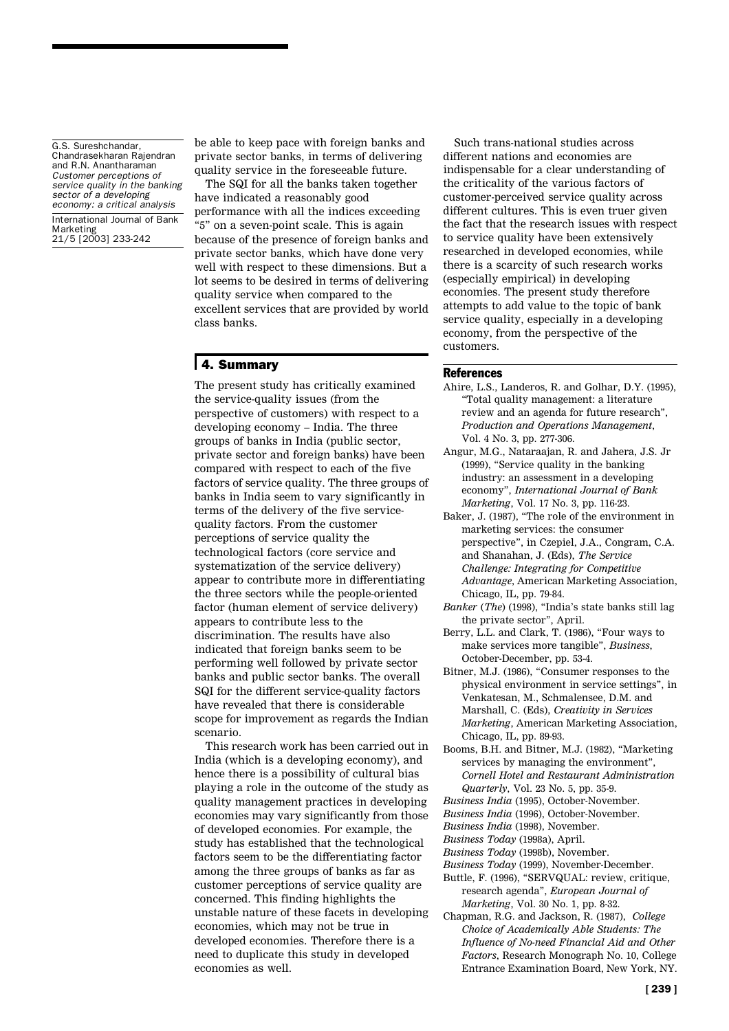be able to keep pace with foreign banks and private sector banks, in terms of delivering quality service in the foreseeable future.

The SQI for all the banks taken together have indicated a reasonably good performance with all the indices exceeding "5" on a seven-point scale. This is again because of the presence of foreign banks and private sector banks, which have done very well with respect to these dimensions. But a lot seems to be desired in terms of delivering quality service when compared to the excellent services that are provided by world class banks

## 4. Summarv

The present study has critically examined the service-quality issues (from the perspective of customers) with respect to a developing economy - India. The three groups of banks in India (public sector, private sector and foreign banks) have been compared with respect to each of the five factors of service quality. The three groups of banks in India seem to vary significantly in terms of the delivery of the five servicequality factors. From the customer perceptions of service quality the technological factors (core service and systematization of the service delivery) appear to contribute more in differentiating the three sectors while the people-oriented factor (human element of service delivery) appears to contribute less to the discrimination. The results have also indicated that foreign banks seem to be performing well followed by private sector banks and public sector banks. The overall SQI for the different service-quality factors have revealed that there is considerable scope for improvement as regards the Indian scenario

This research work has been carried out in India (which is a developing economy), and hence there is a possibility of cultural bias playing a role in the outcome of the study as quality management practices in developing economies may vary significantly from those of developed economies. For example, the study has established that the technological factors seem to be the differentiating factor among the three groups of banks as far as customer perceptions of service quality are concerned. This finding highlights the unstable nature of these facets in developing economies, which may not be true in developed economies. Therefore there is a need to duplicate this study in developed economies as well.

Such trans-national studies across different nations and economies are indispensable for a clear understanding of the criticality of the various factors of customer-perceived service quality across different cultures. This is even truer given the fact that the research issues with respect to service quality have been extensively researched in developed economies, while there is a scarcity of such research works (especially empirical) in developing economies. The present study therefore attempts to add value to the topic of bank service quality, especially in a developing economy, from the perspective of the customers

#### **References**

- Ahire, L.S., Landeros, R. and Golhar, D.Y. (1995). "Total quality management: a literature review and an agenda for future research". Production and Operations Management, Vol. 4 No. 3, pp. 277-306.
- Angur, M.G., Nataraajan, R. and Jahera, J.S. Jr (1999). "Service quality in the banking industry: an assessment in a developing economy", International Journal of Bank Marketing, Vol. 17 No. 3, pp. 116-23.
- Baker, J. (1987). "The role of the environment in marketing services: the consumer perspective", in Czepiel, J.A., Congram, C.A. and Shanahan, J. (Eds), The Service Challenge: Integrating for Competitive Advantage, American Marketing Association, Chicago, IL, pp. 79-84.
- Banker (The) (1998), "India's state banks still lag the private sector", April.
- Berry, L.L. and Clark, T. (1986), "Four ways to make services more tangible", Business, October-December, pp. 53-4.
- Bitner, M.J. (1986), "Consumer responses to the physical environment in service settings", in Venkatesan, M., Schmalensee, D.M. and Marshall, C. (Eds), Creativity in Services Marketing, American Marketing Association, Chicago, IL, pp. 89-93.
- Booms, B.H. and Bitner, M.J. (1982), "Marketing services by managing the environment", Cornell Hotel and Restaurant Administration Quarterly, Vol. 23 No. 5, pp. 35-9.
- Business India (1995), October-November.
- Business India (1996), October-November.
- Business India (1998), November.
- Business Today (1998a), April.
- Business Today (1998b). November.
- Business Today (1999), November-December.
- Buttle, F. (1996), "SERVQUAL: review, critique, research agenda". European Journal of Marketing, Vol. 30 No. 1, pp. 8-32.
- Chapman, R.G. and Jackson, R. (1987), College Choice of Academically Able Students: The Influence of No-need Financial Aid and Other Factors, Research Monograph No. 10, College Entrance Examination Board, New York, NY.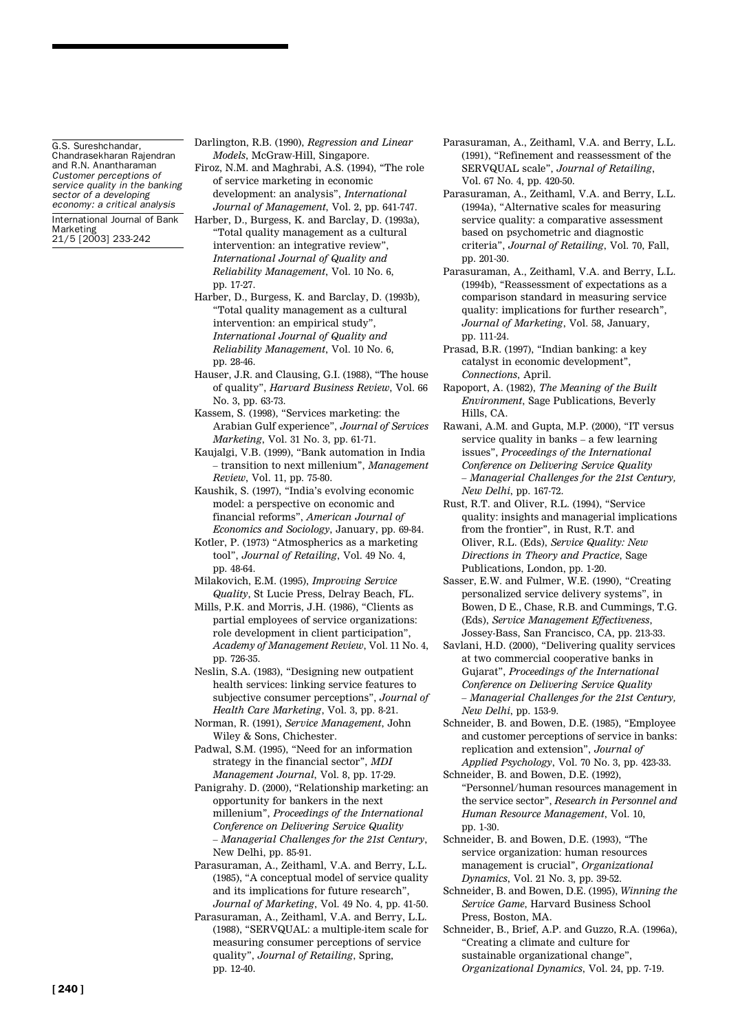- Darlington, R.B. (1990), Regression and Linear Models, McGraw-Hill, Singapore.
- Firoz, N.M. and Maghrabi, A.S. (1994), "The role of service marketing in economic development: an analysis", International Journal of Management, Vol. 2, pp. 641-747.

Harber, D., Burgess, K. and Barclay, D. (1993a), "Total quality management as a cultural intervention: an integrative review", International Journal of Quality and Reliability Management, Vol. 10 No. 6, pp. 17-27.

- Harber, D., Burgess, K. and Barclay, D. (1993b), "Total quality management as a cultural intervention: an empirical study", International Journal of Quality and Reliability Management, Vol. 10 No. 6, pp. 28-46
- Hauser, J.R. and Clausing, G.I. (1988), "The house of quality". Harvard Business Review. Vol. 66 No. 3, pp. 63-73.
- Kassem, S. (1998), "Services marketing: the Arabian Gulf experience". Journal of Services Marketing, Vol. 31 No. 3, pp. 61-71.
- Kaujalgi, V.B. (1999), "Bank automation in India - transition to next millenium", Management Review, Vol. 11, pp. 75-80.
- Kaushik, S. (1997), "India's evolving economic model: a perspective on economic and financial reforms", American Journal of Economics and Sociology, January, pp. 69-84.
- Kotler, P. (1973) "Atmospherics as a marketing tool", Journal of Retailing, Vol. 49 No. 4, pp. 48-64.
- Milakovich, E.M. (1995), Improving Service Quality, St Lucie Press, Delray Beach, FL.
- Mills, P.K. and Morris, J.H. (1986), "Clients as partial employees of service organizations: role development in client participation". Academy of Management Review, Vol. 11 No. 4, pp. 726-35.
- Neslin, S.A. (1983), "Designing new outpatient health services: linking service features to subjective consumer perceptions", Journal of Health Care Marketing, Vol. 3, pp. 8-21.
- Norman, R. (1991), Service Management, John Wiley & Sons, Chichester.
- Padwal, S.M. (1995), "Need for an information strategy in the financial sector", MDI Management Journal, Vol. 8, pp. 17-29.
- Panigrahy. D. (2000), "Relationship marketing: an opportunity for bankers in the next millenium", Proceedings of the International Conference on Delivering Service Quality - Managerial Challenges for the 21st Century. New Delhi, pp. 85-91.
- Parasuraman, A., Zeithaml, V.A. and Berry, L.L. (1985), "A conceptual model of service quality and its implications for future research", Journal of Marketing, Vol. 49 No. 4, pp. 41-50.
- Parasuraman, A., Zeithaml, V.A. and Berry, L.L. (1988), "SERVQUAL: a multiple-item scale for measuring consumer perceptions of service quality", Journal of Retailing, Spring, pp. 12-40.
- Parasuraman, A., Zeithaml, V.A. and Berry, L.L. (1991), "Refinement and reassessment of the SERVQUAL scale", Journal of Retailing, Vol. 67 No. 4, pp. 420-50.
- Parasuraman, A., Zeithaml, V.A. and Berry, L.L. (1994a). "Alternative scales for measuring service quality: a comparative assessment based on psychometric and diagnostic criteria", Journal of Retailing, Vol. 70, Fall, pp. 201-30.
- Parasuraman, A., Zeithaml, V.A. and Berry, L.L. (1994b), "Reassessment of expectations as a comparison standard in measuring service quality: implications for further research", Journal of Marketing, Vol. 58, January, pp. 111-24.
- Prasad, B.R. (1997), "Indian banking: a key catalyst in economic development", Connections, April.
- Rapoport, A. (1982), The Meaning of the Built Environment, Sage Publications, Beverly  $Hills$   $CA$
- Rawani, A.M. and Gupta, M.P. (2000). "IT versus service quality in banks - a few learning issues", Proceedings of the International Conference on Delivering Service Quality - Managerial Challenges for the 21st Century, New Delhi, pp. 167-72.
- Rust, R.T. and Oliver, R.L. (1994), "Service quality: insights and managerial implications from the frontier", in Rust, R.T. and Oliver, R.L. (Eds), Service Quality: New Directions in Theory and Practice, Sage Publications, London, pp. 1-20.
- Sasser, E.W. and Fulmer, W.E. (1990), "Creating personalized service delivery systems", in Bowen, D E., Chase, R.B. and Cummings, T.G. (Eds), Service Management Effectiveness, Jossey-Bass, San Francisco, CA, pp. 213-33.
- Savlani, H.D. (2000), "Delivering quality services at two commercial cooperative banks in Gujarat", Proceedings of the International Conference on Delivering Service Quality - Managerial Challenges for the 21st Century, New Delhi, pp. 153-9.
- Schneider, B. and Bowen, D.E. (1985), "Employee and customer perceptions of service in banks: replication and extension", Journal of Applied Psychology, Vol. 70 No. 3, pp. 423-33.
- Schneider, B. and Bowen, D.E. (1992), "Personnel/human resources management in the service sector", Research in Personnel and Human Resource Management, Vol. 10. pp. 1-30.
- Schneider, B. and Bowen, D.E. (1993). "The service organization: human resources management is crucial", Organizational Dynamics, Vol. 21 No. 3, pp. 39-52.
- Schneider, B. and Bowen, D.E. (1995), Winning the Service Game, Harvard Business School Press, Boston, MA.
- Schneider, B., Brief, A.P. and Guzzo, R.A. (1996a), "Creating a climate and culture for sustainable organizational change", Organizational Dynamics, Vol. 24, pp. 7-19.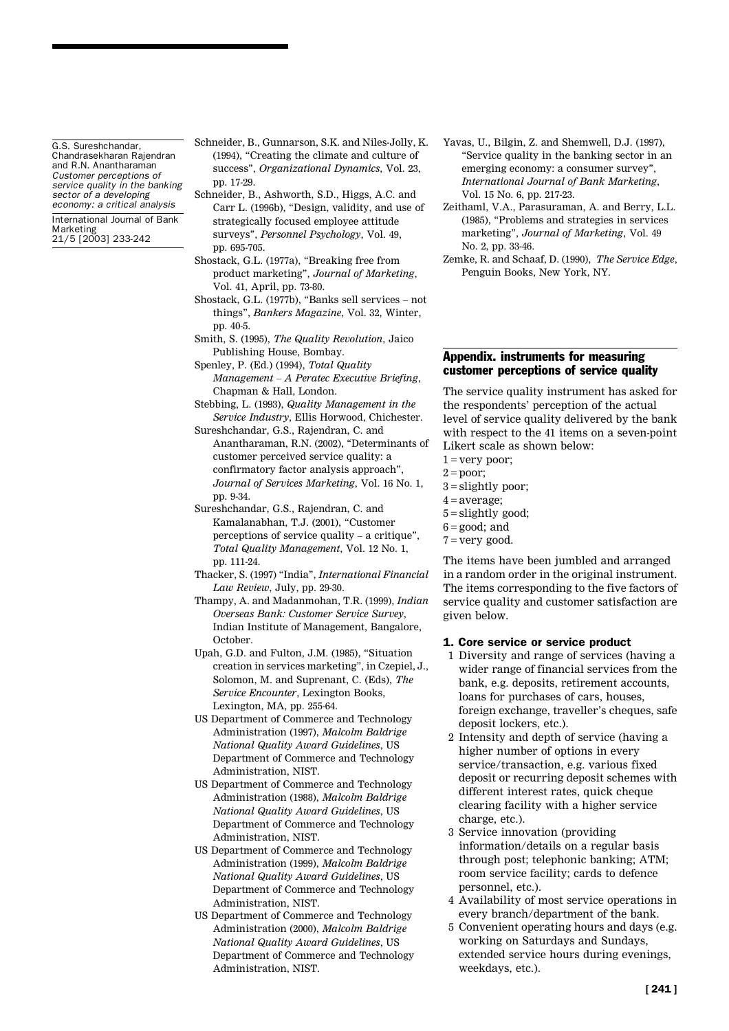- Schneider, B., Gunnarson, S.K. and Niles-Jolly, K. (1994), "Creating the climate and culture of success", Organizational Dynamics, Vol. 23, pp. 17-29.
- Schneider, B., Ashworth, S.D., Higgs, A.C. and Carr L. (1996b), "Design, validity, and use of strategically focused employee attitude surveys", Personnel Psychology, Vol. 49, pp. 695-705.
- Shostack, G.L. (1977a), "Breaking free from product marketing", Journal of Marketing, Vol. 41, April, pp. 73-80.
- Shostack, G.L. (1977b), "Banks sell services not things", Bankers Magazine, Vol. 32, Winter, pp. 40-5.
- Smith, S. (1995), The Quality Revolution, Jaico Publishing House, Bombay.
- Spenley, P. (Ed.) (1994), Total Quality Management - A Peratec Executive Briefing, Chapman & Hall, London.
- Stebbing, L. (1993), Quality Management in the Service Industry, Ellis Horwood, Chichester.
- Sureshchandar, G.S., Rajendran, C. and Anantharaman, R.N. (2002), "Determinants of customer perceived service quality: a confirmatory factor analysis approach", Journal of Services Marketing, Vol. 16 No. 1, pp. 9-34.
- Sureshchandar, G.S., Rajendran, C. and Kamalanabhan, T.J. (2001), "Customer perceptions of service quality - a critique", Total Quality Management, Vol. 12 No. 1, pp. 111-24.
- Thacker, S. (1997) "India", International Financial Law Review, July, pp. 29-30.
- Thampy, A. and Madanmohan, T.R. (1999), *Indian* Overseas Bank: Customer Service Survey, Indian Institute of Management, Bangalore, October.
- Upah, G.D. and Fulton, J.M. (1985). "Situation creation in services marketing", in Czepiel, J., Solomon, M. and Suprenant, C. (Eds), The Service Encounter, Lexington Books, Lexington, MA, pp. 255-64.
- US Department of Commerce and Technology Administration (1997), Malcolm Baldrige National Quality Award Guidelines, US Department of Commerce and Technology Administration, NIST.
- US Department of Commerce and Technology Administration (1988), Malcolm Baldrige National Quality Award Guidelines, US Department of Commerce and Technology Administration, NIST.
- US Department of Commerce and Technology Administration (1999), Malcolm Baldrige National Quality Award Guidelines, US Department of Commerce and Technology Administration, NIST.
- US Department of Commerce and Technology Administration (2000), Malcolm Baldrige National Quality Award Guidelines, US Department of Commerce and Technology Administration, NIST.
- Yavas, U., Bilgin, Z. and Shemwell, D.J. (1997), "Service quality in the banking sector in an emerging economy: a consumer survey", International Journal of Bank Marketing, Vol. 15 No. 6, pp. 217-23.
- Zeithaml, V.A., Parasuraman, A. and Berry, L.L. (1985), "Problems and strategies in services marketing", Journal of Marketing, Vol. 49 No. 2, pp. 33-46.
- Zemke, R. and Schaaf, D. (1990), The Service Edge, Penguin Books, New York, NY.

#### Appendix. instruments for measuring customer perceptions of service quality

The service quality instrument has asked for the respondents' perception of the actual level of service quality delivered by the bank with respect to the 41 items on a seven-point Likert scale as shown below:

- $1 = very poor;$
- $2 = poor;$
- $3 =$  slightly poor;
- $4 = average;$
- $5 =$  slightly good;
- $6 = good$ ; and  $7 = very good.$
- 

The items have been jumbled and arranged in a random order in the original instrument. The items corresponding to the five factors of service quality and customer satisfaction are given below.

## 1. Core service or service product

- 1 Diversity and range of services (having a wider range of financial services from the bank, e.g. deposits, retirement accounts, loans for purchases of cars, houses, foreign exchange, traveller's cheques, safe deposit lockers, etc.).
- 2 Intensity and depth of service (having a higher number of options in every service/transaction, e.g. various fixed deposit or recurring deposit schemes with different interest rates, quick cheque clearing facility with a higher service charge, etc.).
- 3 Service innovation (providing information/details on a regular basis through post; telephonic banking; ATM; room service facility; cards to defence personnel, etc.).
- 4 Availability of most service operations in every branch/department of the bank.
- 5 Convenient operating hours and days (e.g. working on Saturdays and Sundays, extended service hours during evenings, weekdays, etc.).